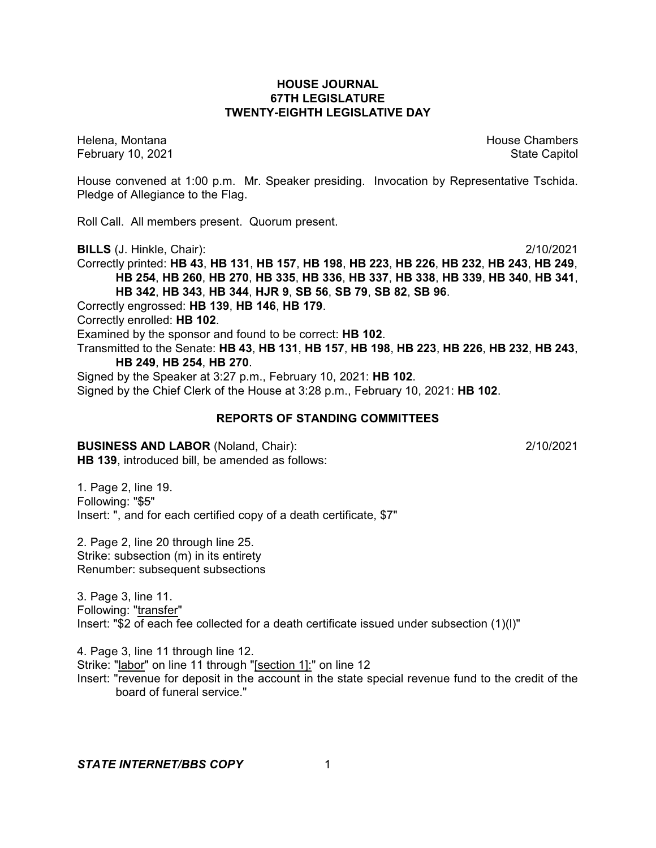### **HOUSE JOURNAL 67TH LEGISLATURE TWENTY-EIGHTH LEGISLATIVE DAY**

February 10, 2021 **State Capitol** 

Helena, Montana House Chambers Chambers Chambers and House Chambers Chambers Chambers Chambers Chambers Chambers Chambers Chambers Chambers Chambers Chambers Chambers Chambers Chambers Chambers Chambers Chambers Chambers C

House convened at 1:00 p.m. Mr. Speaker presiding. Invocation by Representative Tschida. Pledge of Allegiance to the Flag.

Roll Call. All members present. Quorum present.

**BILLS** (J. Hinkle, Chair): 2/10/2021

Correctly printed: **HB 43**, **HB 131**, **HB 157**, **HB 198**, **HB 223**, **HB 226**, **HB 232**, **HB 243**, **HB 249**, **HB 254**, **HB 260**, **HB 270**, **HB 335**, **HB 336**, **HB 337**, **HB 338**, **HB 339**, **HB 340**, **HB 341**, **HB 342**, **HB 343**, **HB 344**, **HJR 9**, **SB 56**, **SB 79**, **SB 82**, **SB 96**.

Correctly engrossed: **HB 139**, **HB 146**, **HB 179**.

Correctly enrolled: **HB 102**.

Examined by the sponsor and found to be correct: **HB 102**.

Transmitted to the Senate: **HB 43**, **HB 131**, **HB 157**, **HB 198**, **HB 223**, **HB 226**, **HB 232**, **HB 243**, **HB 249**, **HB 254**, **HB 270**.

Signed by the Speaker at 3:27 p.m., February 10, 2021: **HB 102**. Signed by the Chief Clerk of the House at 3:28 p.m., February 10, 2021: **HB 102**.

## **REPORTS OF STANDING COMMITTEES**

**BUSINESS AND LABOR** (Noland, Chair): 2/10/2021 **HB 139**, introduced bill, be amended as follows:

1. Page 2, line 19. Following: "\$5" Insert: ", and for each certified copy of a death certificate, \$7"

2. Page 2, line 20 through line 25. Strike: subsection (m) in its entirety Renumber: subsequent subsections

3. Page 3, line 11. Following: "transfer" Insert: "\$2 of each fee collected for a death certificate issued under subsection (1)(l)"

4. Page 3, line 11 through line 12. Strike: "labor" on line 11 through "[section 1]:" on line 12 Insert: "revenue for deposit in the account in the state special revenue fund to the credit of the board of funeral service."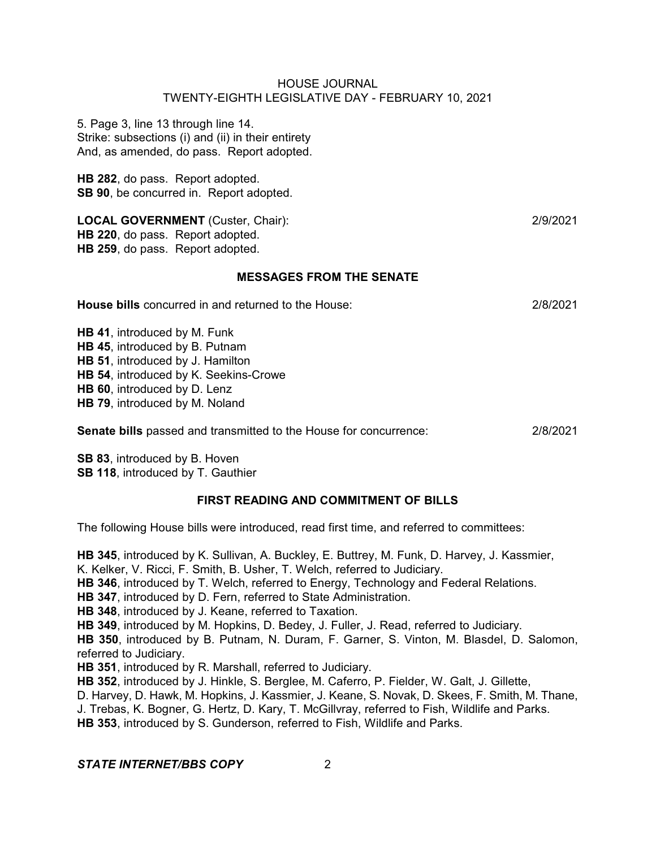5. Page 3, line 13 through line 14. Strike: subsections (i) and (ii) in their entirety And, as amended, do pass. Report adopted.

**HB 282**, do pass. Report adopted. **SB 90**, be concurred in. Report adopted.

**LOCAL GOVERNMENT** (Custer, Chair): 2/9/2021 **HB 220**, do pass. Report adopted. **HB 259**, do pass. Report adopted.

### **MESSAGES FROM THE SENATE**

**House bills** concurred in and returned to the House: 2/8/2021

**HB 41**, introduced by M. Funk **HB 45**, introduced by B. Putnam **HB 51**, introduced by J. Hamilton **HB 54**, introduced by K. Seekins-Crowe **HB 60**, introduced by D. Lenz **HB 79**, introduced by M. Noland

**Senate bills** passed and transmitted to the House for concurrence: 2/8/2021

**SB 83**, introduced by B. Hoven **SB 118**, introduced by T. Gauthier

# **FIRST READING AND COMMITMENT OF BILLS**

The following House bills were introduced, read first time, and referred to committees:

**HB 345**, introduced by K. Sullivan, A. Buckley, E. Buttrey, M. Funk, D. Harvey, J. Kassmier, K. Kelker, V. Ricci, F. Smith, B. Usher, T. Welch, referred to Judiciary.

- **HB 346**, introduced by T. Welch, referred to Energy, Technology and Federal Relations.
- **HB 347**, introduced by D. Fern, referred to State Administration.

**HB 348**, introduced by J. Keane, referred to Taxation.

**HB 349**, introduced by M. Hopkins, D. Bedey, J. Fuller, J. Read, referred to Judiciary.

**HB 350**, introduced by B. Putnam, N. Duram, F. Garner, S. Vinton, M. Blasdel, D. Salomon, referred to Judiciary.

**HB 351**, introduced by R. Marshall, referred to Judiciary.

**HB 352**, introduced by J. Hinkle, S. Berglee, M. Caferro, P. Fielder, W. Galt, J. Gillette,

D. Harvey, D. Hawk, M. Hopkins, J. Kassmier, J. Keane, S. Novak, D. Skees, F. Smith, M. Thane,

J. Trebas, K. Bogner, G. Hertz, D. Kary, T. McGillvray, referred to Fish, Wildlife and Parks.

**HB 353**, introduced by S. Gunderson, referred to Fish, Wildlife and Parks.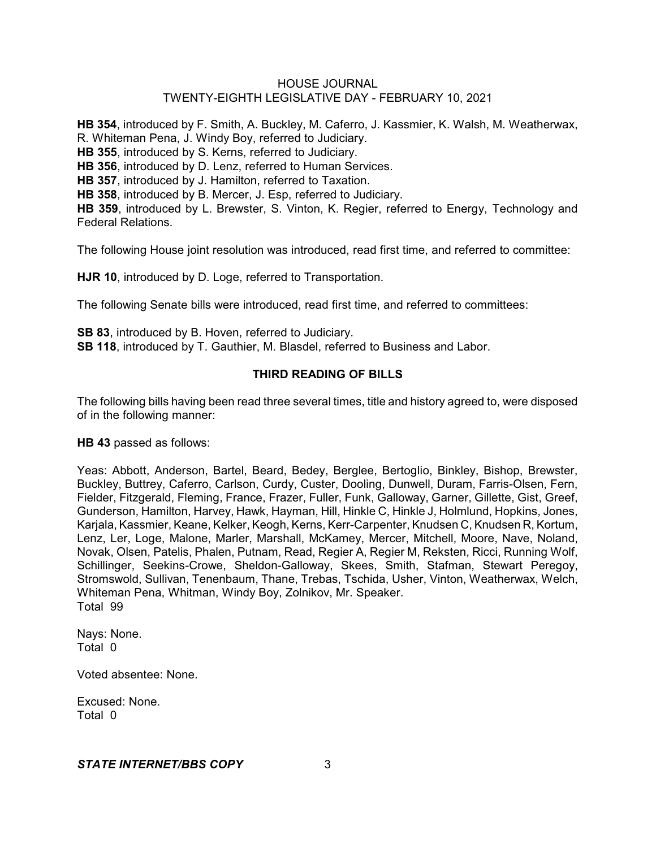**HB 354**, introduced by F. Smith, A. Buckley, M. Caferro, J. Kassmier, K. Walsh, M. Weatherwax, R. Whiteman Pena, J. Windy Boy, referred to Judiciary. **HB 355**, introduced by S. Kerns, referred to Judiciary. **HB 356**, introduced by D. Lenz, referred to Human Services. **HB 357**, introduced by J. Hamilton, referred to Taxation. **HB 358**, introduced by B. Mercer, J. Esp, referred to Judiciary. **HB 359**, introduced by L. Brewster, S. Vinton, K. Regier, referred to Energy, Technology and Federal Relations.

The following House joint resolution was introduced, read first time, and referred to committee:

**HJR 10**, introduced by D. Loge, referred to Transportation.

The following Senate bills were introduced, read first time, and referred to committees:

**SB 83**, introduced by B. Hoven, referred to Judiciary. **SB 118**, introduced by T. Gauthier, M. Blasdel, referred to Business and Labor.

## **THIRD READING OF BILLS**

The following bills having been read three several times, title and history agreed to, were disposed of in the following manner:

**HB 43** passed as follows:

Yeas: Abbott, Anderson, Bartel, Beard, Bedey, Berglee, Bertoglio, Binkley, Bishop, Brewster, Buckley, Buttrey, Caferro, Carlson, Curdy, Custer, Dooling, Dunwell, Duram, Farris-Olsen, Fern, Fielder, Fitzgerald, Fleming, France, Frazer, Fuller, Funk, Galloway, Garner, Gillette, Gist, Greef, Gunderson, Hamilton, Harvey, Hawk, Hayman, Hill, Hinkle C, Hinkle J, Holmlund, Hopkins, Jones, Karjala, Kassmier, Keane, Kelker, Keogh, Kerns, Kerr-Carpenter, Knudsen C, Knudsen R, Kortum, Lenz, Ler, Loge, Malone, Marler, Marshall, McKamey, Mercer, Mitchell, Moore, Nave, Noland, Novak, Olsen, Patelis, Phalen, Putnam, Read, Regier A, Regier M, Reksten, Ricci, Running Wolf, Schillinger, Seekins-Crowe, Sheldon-Galloway, Skees, Smith, Stafman, Stewart Peregoy, Stromswold, Sullivan, Tenenbaum, Thane, Trebas, Tschida, Usher, Vinton, Weatherwax, Welch, Whiteman Pena, Whitman, Windy Boy, Zolnikov, Mr. Speaker. Total 99

Nays: None. Total 0

Voted absentee: None.

Excused: None. Total 0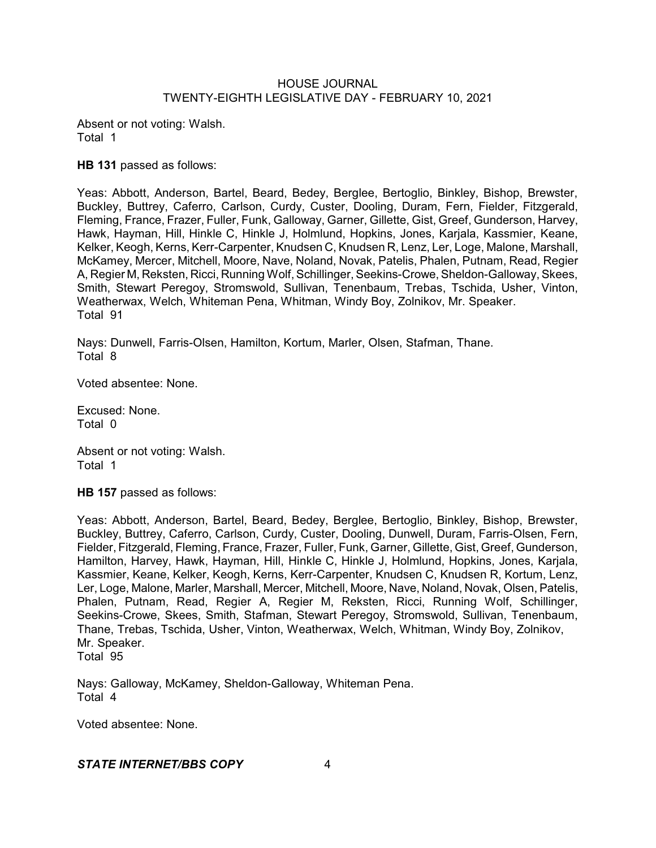Absent or not voting: Walsh. Total 1

**HB 131** passed as follows:

Yeas: Abbott, Anderson, Bartel, Beard, Bedey, Berglee, Bertoglio, Binkley, Bishop, Brewster, Buckley, Buttrey, Caferro, Carlson, Curdy, Custer, Dooling, Duram, Fern, Fielder, Fitzgerald, Fleming, France, Frazer, Fuller, Funk, Galloway, Garner, Gillette, Gist, Greef, Gunderson, Harvey, Hawk, Hayman, Hill, Hinkle C, Hinkle J, Holmlund, Hopkins, Jones, Karjala, Kassmier, Keane, Kelker, Keogh, Kerns, Kerr-Carpenter, Knudsen C, Knudsen R, Lenz, Ler, Loge, Malone, Marshall, McKamey, Mercer, Mitchell, Moore, Nave, Noland, Novak, Patelis, Phalen, Putnam, Read, Regier A, Regier M, Reksten, Ricci, Running Wolf, Schillinger, Seekins-Crowe,Sheldon-Galloway, Skees, Smith, Stewart Peregoy, Stromswold, Sullivan, Tenenbaum, Trebas, Tschida, Usher, Vinton, Weatherwax, Welch, Whiteman Pena, Whitman, Windy Boy, Zolnikov, Mr. Speaker. Total 91

Nays: Dunwell, Farris-Olsen, Hamilton, Kortum, Marler, Olsen, Stafman, Thane. Total 8

Voted absentee: None.

Excused: None. Total 0

Absent or not voting: Walsh. Total 1

**HB 157** passed as follows:

Yeas: Abbott, Anderson, Bartel, Beard, Bedey, Berglee, Bertoglio, Binkley, Bishop, Brewster, Buckley, Buttrey, Caferro, Carlson, Curdy, Custer, Dooling, Dunwell, Duram, Farris-Olsen, Fern, Fielder, Fitzgerald, Fleming, France, Frazer, Fuller, Funk, Garner, Gillette, Gist, Greef, Gunderson, Hamilton, Harvey, Hawk, Hayman, Hill, Hinkle C, Hinkle J, Holmlund, Hopkins, Jones, Karjala, Kassmier, Keane, Kelker, Keogh, Kerns, Kerr-Carpenter, Knudsen C, Knudsen R, Kortum, Lenz, Ler, Loge, Malone, Marler, Marshall, Mercer, Mitchell, Moore, Nave, Noland, Novak, Olsen, Patelis, Phalen, Putnam, Read, Regier A, Regier M, Reksten, Ricci, Running Wolf, Schillinger, Seekins-Crowe, Skees, Smith, Stafman, Stewart Peregoy, Stromswold, Sullivan, Tenenbaum, Thane, Trebas, Tschida, Usher, Vinton, Weatherwax, Welch, Whitman, Windy Boy, Zolnikov, Mr. Speaker. Total 95

Nays: Galloway, McKamey, Sheldon-Galloway, Whiteman Pena. Total 4

Voted absentee: None.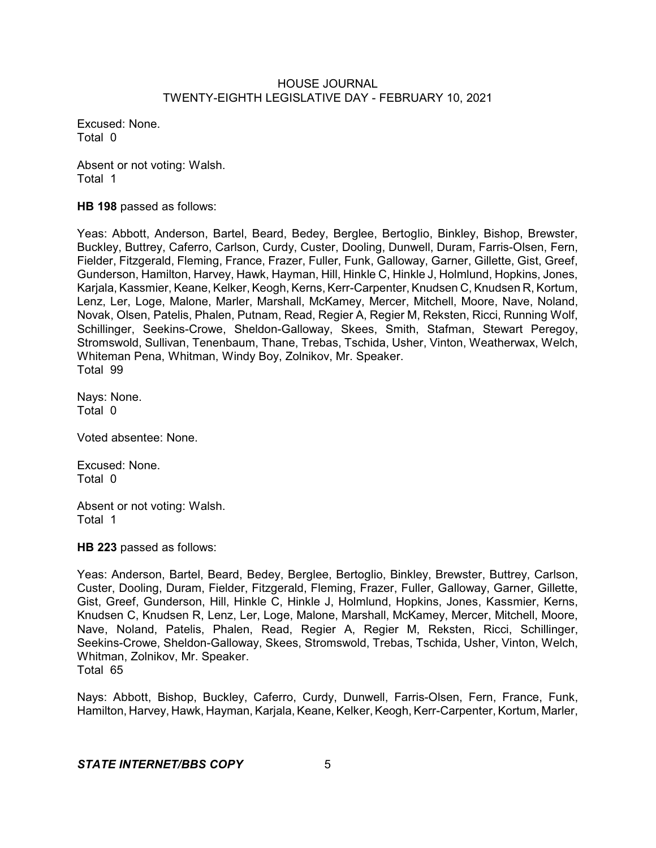Excused: None. Total 0

Absent or not voting: Walsh. Total 1

**HB 198** passed as follows:

Yeas: Abbott, Anderson, Bartel, Beard, Bedey, Berglee, Bertoglio, Binkley, Bishop, Brewster, Buckley, Buttrey, Caferro, Carlson, Curdy, Custer, Dooling, Dunwell, Duram, Farris-Olsen, Fern, Fielder, Fitzgerald, Fleming, France, Frazer, Fuller, Funk, Galloway, Garner, Gillette, Gist, Greef, Gunderson, Hamilton, Harvey, Hawk, Hayman, Hill, Hinkle C, Hinkle J, Holmlund, Hopkins, Jones, Karjala, Kassmier, Keane, Kelker, Keogh, Kerns, Kerr-Carpenter, Knudsen C, Knudsen R, Kortum, Lenz, Ler, Loge, Malone, Marler, Marshall, McKamey, Mercer, Mitchell, Moore, Nave, Noland, Novak, Olsen, Patelis, Phalen, Putnam, Read, Regier A, Regier M, Reksten, Ricci, Running Wolf, Schillinger, Seekins-Crowe, Sheldon-Galloway, Skees, Smith, Stafman, Stewart Peregoy, Stromswold, Sullivan, Tenenbaum, Thane, Trebas, Tschida, Usher, Vinton, Weatherwax, Welch, Whiteman Pena, Whitman, Windy Boy, Zolnikov, Mr. Speaker. Total 99

Nays: None. Total 0

Voted absentee: None.

Excused: None. Total 0

Absent or not voting: Walsh. Total 1

**HB 223** passed as follows:

Yeas: Anderson, Bartel, Beard, Bedey, Berglee, Bertoglio, Binkley, Brewster, Buttrey, Carlson, Custer, Dooling, Duram, Fielder, Fitzgerald, Fleming, Frazer, Fuller, Galloway, Garner, Gillette, Gist, Greef, Gunderson, Hill, Hinkle C, Hinkle J, Holmlund, Hopkins, Jones, Kassmier, Kerns, Knudsen C, Knudsen R, Lenz, Ler, Loge, Malone, Marshall, McKamey, Mercer, Mitchell, Moore, Nave, Noland, Patelis, Phalen, Read, Regier A, Regier M, Reksten, Ricci, Schillinger, Seekins-Crowe, Sheldon-Galloway, Skees, Stromswold, Trebas, Tschida, Usher, Vinton, Welch, Whitman, Zolnikov, Mr. Speaker. Total 65

Nays: Abbott, Bishop, Buckley, Caferro, Curdy, Dunwell, Farris-Olsen, Fern, France, Funk, Hamilton, Harvey, Hawk, Hayman, Karjala, Keane, Kelker, Keogh, Kerr-Carpenter, Kortum, Marler,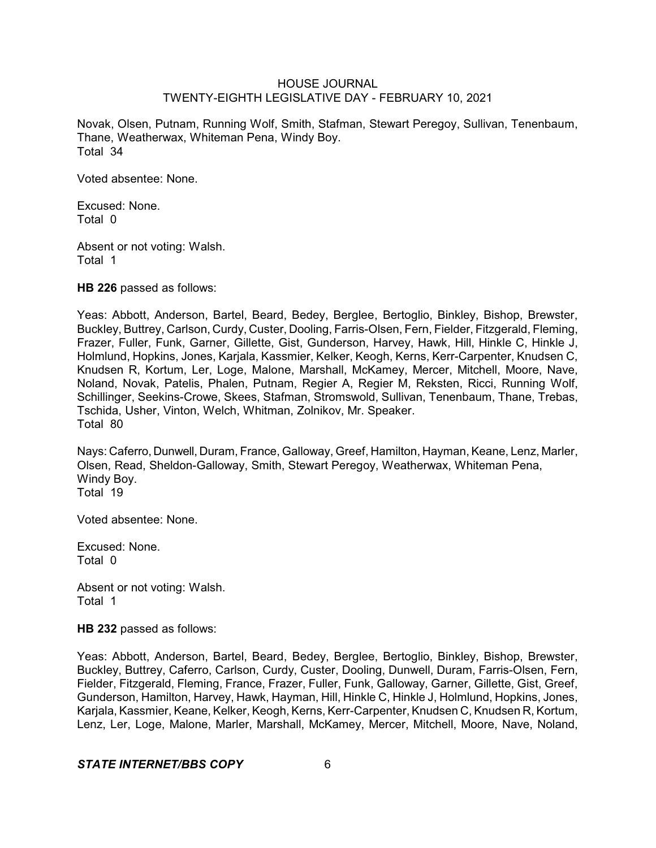Novak, Olsen, Putnam, Running Wolf, Smith, Stafman, Stewart Peregoy, Sullivan, Tenenbaum, Thane, Weatherwax, Whiteman Pena, Windy Boy. Total 34

Voted absentee: None.

Excused: None. Total 0

Absent or not voting: Walsh. Total 1

**HB 226** passed as follows:

Yeas: Abbott, Anderson, Bartel, Beard, Bedey, Berglee, Bertoglio, Binkley, Bishop, Brewster, Buckley, Buttrey, Carlson, Curdy, Custer, Dooling, Farris-Olsen, Fern, Fielder, Fitzgerald, Fleming, Frazer, Fuller, Funk, Garner, Gillette, Gist, Gunderson, Harvey, Hawk, Hill, Hinkle C, Hinkle J, Holmlund, Hopkins, Jones, Karjala, Kassmier, Kelker, Keogh, Kerns, Kerr-Carpenter, Knudsen C, Knudsen R, Kortum, Ler, Loge, Malone, Marshall, McKamey, Mercer, Mitchell, Moore, Nave, Noland, Novak, Patelis, Phalen, Putnam, Regier A, Regier M, Reksten, Ricci, Running Wolf, Schillinger, Seekins-Crowe, Skees, Stafman, Stromswold, Sullivan, Tenenbaum, Thane, Trebas, Tschida, Usher, Vinton, Welch, Whitman, Zolnikov, Mr. Speaker. Total 80

Nays: Caferro, Dunwell, Duram, France, Galloway, Greef, Hamilton, Hayman, Keane, Lenz, Marler, Olsen, Read, Sheldon-Galloway, Smith, Stewart Peregoy, Weatherwax, Whiteman Pena, Windy Boy. Total 19

Voted absentee: None.

Excused: None. Total 0

Absent or not voting: Walsh. Total 1

**HB 232** passed as follows:

Yeas: Abbott, Anderson, Bartel, Beard, Bedey, Berglee, Bertoglio, Binkley, Bishop, Brewster, Buckley, Buttrey, Caferro, Carlson, Curdy, Custer, Dooling, Dunwell, Duram, Farris-Olsen, Fern, Fielder, Fitzgerald, Fleming, France, Frazer, Fuller, Funk, Galloway, Garner, Gillette, Gist, Greef, Gunderson, Hamilton, Harvey, Hawk, Hayman, Hill, Hinkle C, Hinkle J, Holmlund, Hopkins, Jones, Karjala, Kassmier, Keane, Kelker, Keogh,Kerns, Kerr-Carpenter, Knudsen C, Knudsen R, Kortum, Lenz, Ler, Loge, Malone, Marler, Marshall, McKamey, Mercer, Mitchell, Moore, Nave, Noland,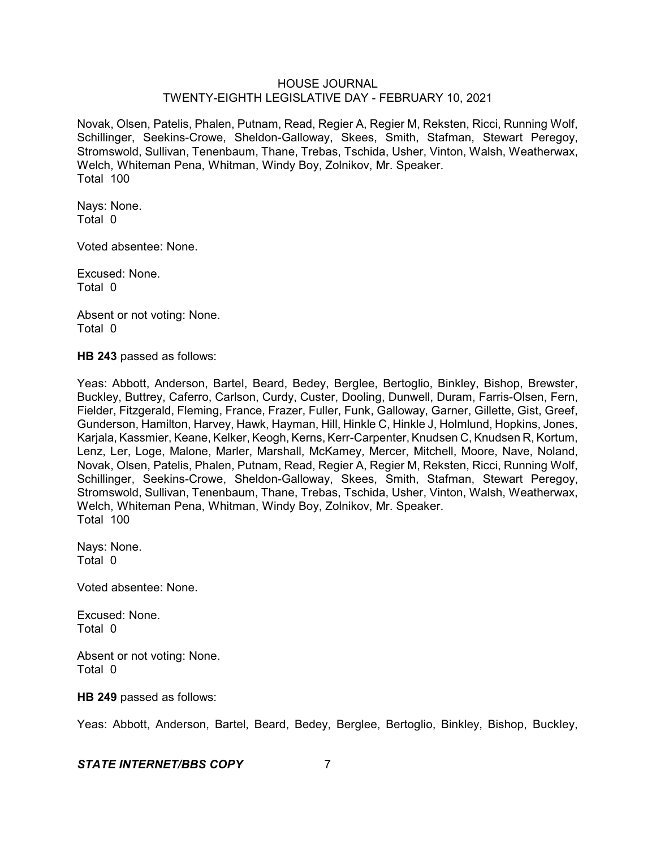Novak, Olsen, Patelis, Phalen, Putnam, Read, Regier A, Regier M, Reksten, Ricci, Running Wolf, Schillinger, Seekins-Crowe, Sheldon-Galloway, Skees, Smith, Stafman, Stewart Peregoy, Stromswold, Sullivan, Tenenbaum, Thane, Trebas, Tschida, Usher, Vinton, Walsh, Weatherwax, Welch, Whiteman Pena, Whitman, Windy Boy, Zolnikov, Mr. Speaker. Total 100

Nays: None. Total 0

Voted absentee: None.

Excused: None. Total 0

Absent or not voting: None. Total 0

**HB 243** passed as follows:

Yeas: Abbott, Anderson, Bartel, Beard, Bedey, Berglee, Bertoglio, Binkley, Bishop, Brewster, Buckley, Buttrey, Caferro, Carlson, Curdy, Custer, Dooling, Dunwell, Duram, Farris-Olsen, Fern, Fielder, Fitzgerald, Fleming, France, Frazer, Fuller, Funk, Galloway, Garner, Gillette, Gist, Greef, Gunderson, Hamilton, Harvey, Hawk, Hayman, Hill, Hinkle C, Hinkle J, Holmlund, Hopkins, Jones, Karjala, Kassmier, Keane, Kelker, Keogh, Kerns, Kerr-Carpenter, Knudsen C, Knudsen R, Kortum, Lenz, Ler, Loge, Malone, Marler, Marshall, McKamey, Mercer, Mitchell, Moore, Nave, Noland, Novak, Olsen, Patelis, Phalen, Putnam, Read, Regier A, Regier M, Reksten, Ricci, Running Wolf, Schillinger, Seekins-Crowe, Sheldon-Galloway, Skees, Smith, Stafman, Stewart Peregoy, Stromswold, Sullivan, Tenenbaum, Thane, Trebas, Tschida, Usher, Vinton, Walsh, Weatherwax, Welch, Whiteman Pena, Whitman, Windy Boy, Zolnikov, Mr. Speaker. Total 100

Nays: None. Total 0

Voted absentee: None.

Excused: None. Total 0

Absent or not voting: None. Total 0

#### **HB 249** passed as follows:

Yeas: Abbott, Anderson, Bartel, Beard, Bedey, Berglee, Bertoglio, Binkley, Bishop, Buckley,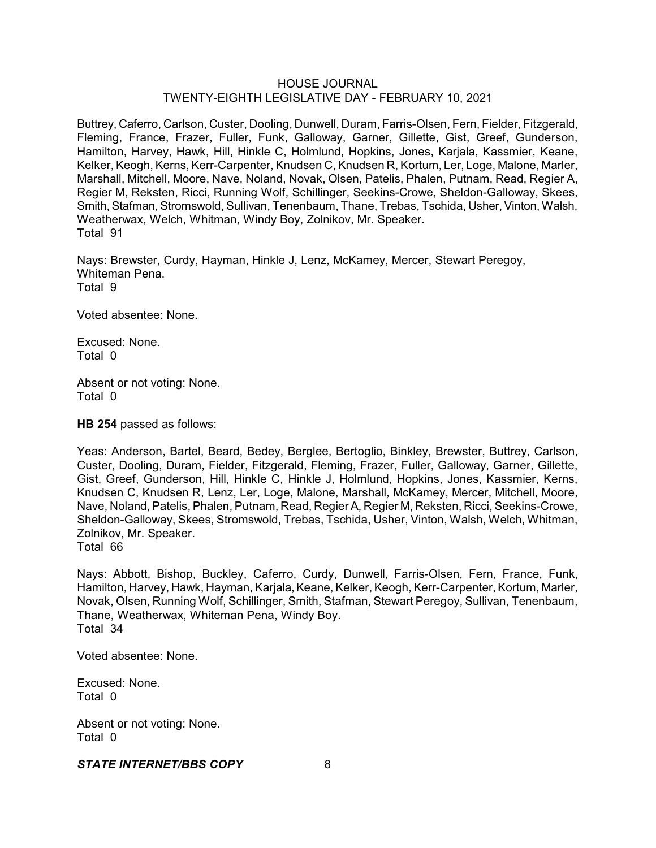Buttrey, Caferro, Carlson, Custer, Dooling, Dunwell, Duram, Farris-Olsen, Fern, Fielder, Fitzgerald, Fleming, France, Frazer, Fuller, Funk, Galloway, Garner, Gillette, Gist, Greef, Gunderson, Hamilton, Harvey, Hawk, Hill, Hinkle C, Holmlund, Hopkins, Jones, Karjala, Kassmier, Keane, Kelker, Keogh, Kerns, Kerr-Carpenter, Knudsen C, Knudsen R, Kortum, Ler, Loge, Malone, Marler, Marshall, Mitchell, Moore, Nave, Noland, Novak, Olsen, Patelis, Phalen, Putnam, Read, Regier A, Regier M, Reksten, Ricci, Running Wolf, Schillinger, Seekins-Crowe, Sheldon-Galloway, Skees, Smith, Stafman, Stromswold, Sullivan, Tenenbaum, Thane, Trebas, Tschida, Usher, Vinton, Walsh, Weatherwax, Welch, Whitman, Windy Boy, Zolnikov, Mr. Speaker. Total 91

Nays: Brewster, Curdy, Hayman, Hinkle J, Lenz, McKamey, Mercer, Stewart Peregoy, Whiteman Pena. Total 9

Voted absentee: None.

Excused: None. Total 0

Absent or not voting: None. Total 0

**HB 254** passed as follows:

Yeas: Anderson, Bartel, Beard, Bedey, Berglee, Bertoglio, Binkley, Brewster, Buttrey, Carlson, Custer, Dooling, Duram, Fielder, Fitzgerald, Fleming, Frazer, Fuller, Galloway, Garner, Gillette, Gist, Greef, Gunderson, Hill, Hinkle C, Hinkle J, Holmlund, Hopkins, Jones, Kassmier, Kerns, Knudsen C, Knudsen R, Lenz, Ler, Loge, Malone, Marshall, McKamey, Mercer, Mitchell, Moore, Nave, Noland, Patelis, Phalen, Putnam, Read, Regier A, Regier M, Reksten, Ricci, Seekins-Crowe, Sheldon-Galloway, Skees, Stromswold, Trebas, Tschida, Usher, Vinton, Walsh, Welch, Whitman, Zolnikov, Mr. Speaker.

Total 66

Nays: Abbott, Bishop, Buckley, Caferro, Curdy, Dunwell, Farris-Olsen, Fern, France, Funk, Hamilton, Harvey, Hawk, Hayman, Karjala, Keane, Kelker, Keogh, Kerr-Carpenter, Kortum, Marler, Novak, Olsen, Running Wolf, Schillinger, Smith, Stafman, Stewart Peregoy, Sullivan, Tenenbaum, Thane, Weatherwax, Whiteman Pena, Windy Boy. Total 34

Voted absentee: None.

Excused: None. Total 0

Absent or not voting: None. Total 0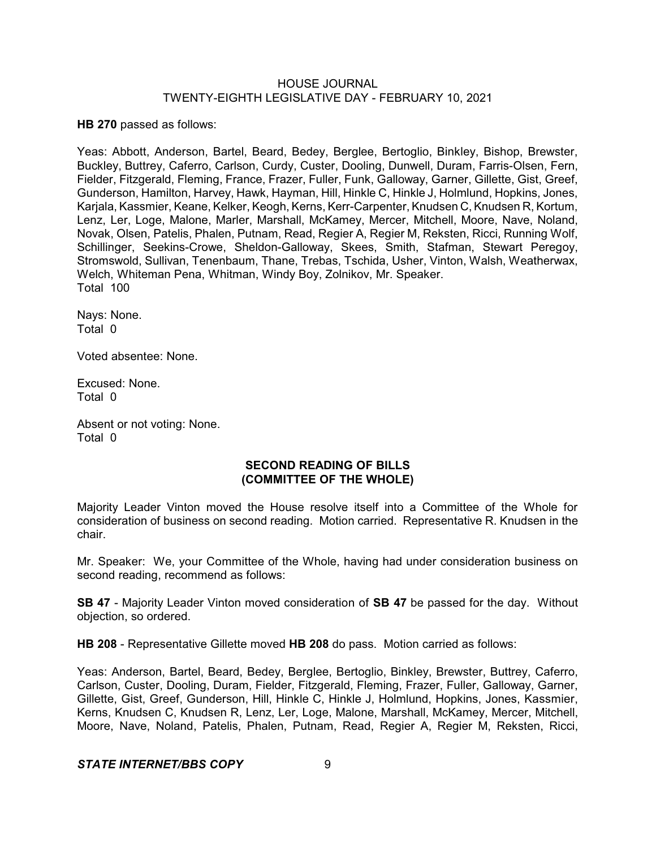**HB 270** passed as follows:

Yeas: Abbott, Anderson, Bartel, Beard, Bedey, Berglee, Bertoglio, Binkley, Bishop, Brewster, Buckley, Buttrey, Caferro, Carlson, Curdy, Custer, Dooling, Dunwell, Duram, Farris-Olsen, Fern, Fielder, Fitzgerald, Fleming, France, Frazer, Fuller, Funk, Galloway, Garner, Gillette, Gist, Greef, Gunderson, Hamilton, Harvey, Hawk, Hayman, Hill, Hinkle C, Hinkle J, Holmlund, Hopkins, Jones, Karjala, Kassmier, Keane, Kelker, Keogh, Kerns, Kerr-Carpenter, Knudsen C, Knudsen R, Kortum, Lenz, Ler, Loge, Malone, Marler, Marshall, McKamey, Mercer, Mitchell, Moore, Nave, Noland, Novak, Olsen, Patelis, Phalen, Putnam, Read, Regier A, Regier M, Reksten, Ricci, Running Wolf, Schillinger, Seekins-Crowe, Sheldon-Galloway, Skees, Smith, Stafman, Stewart Peregoy, Stromswold, Sullivan, Tenenbaum, Thane, Trebas, Tschida, Usher, Vinton, Walsh, Weatherwax, Welch, Whiteman Pena, Whitman, Windy Boy, Zolnikov, Mr. Speaker. Total 100

Nays: None. Total 0

Voted absentee: None.

Excused: None. Total 0

Absent or not voting: None. Total 0

## **SECOND READING OF BILLS (COMMITTEE OF THE WHOLE)**

Majority Leader Vinton moved the House resolve itself into a Committee of the Whole for consideration of business on second reading. Motion carried. Representative R. Knudsen in the chair.

Mr. Speaker: We, your Committee of the Whole, having had under consideration business on second reading, recommend as follows:

**SB 47** - Majority Leader Vinton moved consideration of **SB 47** be passed for the day. Without objection, so ordered.

**HB 208** - Representative Gillette moved **HB 208** do pass. Motion carried as follows:

Yeas: Anderson, Bartel, Beard, Bedey, Berglee, Bertoglio, Binkley, Brewster, Buttrey, Caferro, Carlson, Custer, Dooling, Duram, Fielder, Fitzgerald, Fleming, Frazer, Fuller, Galloway, Garner, Gillette, Gist, Greef, Gunderson, Hill, Hinkle C, Hinkle J, Holmlund, Hopkins, Jones, Kassmier, Kerns, Knudsen C, Knudsen R, Lenz, Ler, Loge, Malone, Marshall, McKamey, Mercer, Mitchell, Moore, Nave, Noland, Patelis, Phalen, Putnam, Read, Regier A, Regier M, Reksten, Ricci,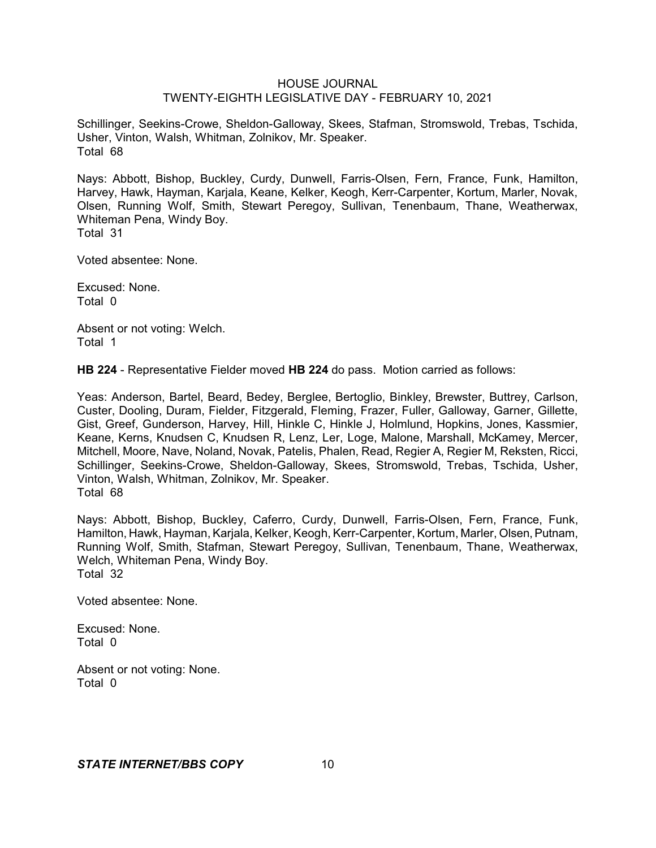Schillinger, Seekins-Crowe, Sheldon-Galloway, Skees, Stafman, Stromswold, Trebas, Tschida, Usher, Vinton, Walsh, Whitman, Zolnikov, Mr. Speaker. Total 68

Nays: Abbott, Bishop, Buckley, Curdy, Dunwell, Farris-Olsen, Fern, France, Funk, Hamilton, Harvey, Hawk, Hayman, Karjala, Keane, Kelker, Keogh, Kerr-Carpenter, Kortum, Marler, Novak, Olsen, Running Wolf, Smith, Stewart Peregoy, Sullivan, Tenenbaum, Thane, Weatherwax, Whiteman Pena, Windy Boy. Total 31

Voted absentee: None.

Excused: None. Total 0

Absent or not voting: Welch. Total 1

**HB 224** - Representative Fielder moved **HB 224** do pass. Motion carried as follows:

Yeas: Anderson, Bartel, Beard, Bedey, Berglee, Bertoglio, Binkley, Brewster, Buttrey, Carlson, Custer, Dooling, Duram, Fielder, Fitzgerald, Fleming, Frazer, Fuller, Galloway, Garner, Gillette, Gist, Greef, Gunderson, Harvey, Hill, Hinkle C, Hinkle J, Holmlund, Hopkins, Jones, Kassmier, Keane, Kerns, Knudsen C, Knudsen R, Lenz, Ler, Loge, Malone, Marshall, McKamey, Mercer, Mitchell, Moore, Nave, Noland, Novak, Patelis, Phalen, Read, Regier A, Regier M, Reksten, Ricci, Schillinger, Seekins-Crowe, Sheldon-Galloway, Skees, Stromswold, Trebas, Tschida, Usher, Vinton, Walsh, Whitman, Zolnikov, Mr. Speaker. Total 68

Nays: Abbott, Bishop, Buckley, Caferro, Curdy, Dunwell, Farris-Olsen, Fern, France, Funk, Hamilton, Hawk, Hayman, Karjala, Kelker, Keogh, Kerr-Carpenter, Kortum, Marler, Olsen, Putnam, Running Wolf, Smith, Stafman, Stewart Peregoy, Sullivan, Tenenbaum, Thane, Weatherwax, Welch, Whiteman Pena, Windy Boy. Total 32

Voted absentee: None.

Excused: None. Total 0

Absent or not voting: None. Total 0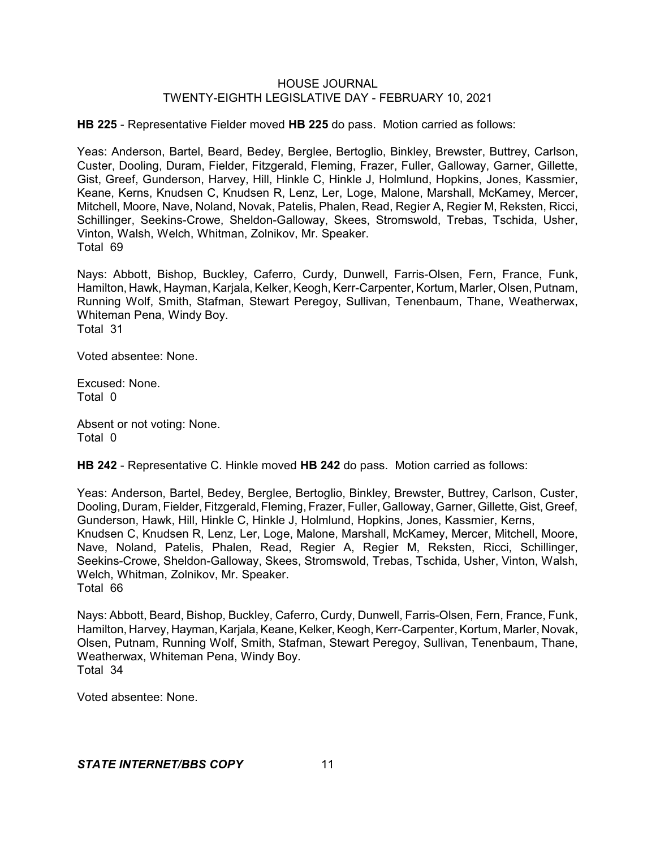**HB 225** - Representative Fielder moved **HB 225** do pass. Motion carried as follows:

Yeas: Anderson, Bartel, Beard, Bedey, Berglee, Bertoglio, Binkley, Brewster, Buttrey, Carlson, Custer, Dooling, Duram, Fielder, Fitzgerald, Fleming, Frazer, Fuller, Galloway, Garner, Gillette, Gist, Greef, Gunderson, Harvey, Hill, Hinkle C, Hinkle J, Holmlund, Hopkins, Jones, Kassmier, Keane, Kerns, Knudsen C, Knudsen R, Lenz, Ler, Loge, Malone, Marshall, McKamey, Mercer, Mitchell, Moore, Nave, Noland, Novak, Patelis, Phalen, Read, Regier A, Regier M, Reksten, Ricci, Schillinger, Seekins-Crowe, Sheldon-Galloway, Skees, Stromswold, Trebas, Tschida, Usher, Vinton, Walsh, Welch, Whitman, Zolnikov, Mr. Speaker. Total 69

Nays: Abbott, Bishop, Buckley, Caferro, Curdy, Dunwell, Farris-Olsen, Fern, France, Funk, Hamilton, Hawk, Hayman, Karjala, Kelker, Keogh, Kerr-Carpenter, Kortum, Marler, Olsen, Putnam, Running Wolf, Smith, Stafman, Stewart Peregoy, Sullivan, Tenenbaum, Thane, Weatherwax, Whiteman Pena, Windy Boy. Total 31

Voted absentee: None.

Excused: None. Total 0

Absent or not voting: None. Total 0

**HB 242** - Representative C. Hinkle moved **HB 242** do pass. Motion carried as follows:

Yeas: Anderson, Bartel, Bedey, Berglee, Bertoglio, Binkley, Brewster, Buttrey, Carlson, Custer, Dooling, Duram, Fielder, Fitzgerald, Fleming, Frazer, Fuller, Galloway, Garner, Gillette, Gist, Greef, Gunderson, Hawk, Hill, Hinkle C, Hinkle J, Holmlund, Hopkins, Jones, Kassmier, Kerns, Knudsen C, Knudsen R, Lenz, Ler, Loge, Malone, Marshall, McKamey, Mercer, Mitchell, Moore, Nave, Noland, Patelis, Phalen, Read, Regier A, Regier M, Reksten, Ricci, Schillinger, Seekins-Crowe, Sheldon-Galloway, Skees, Stromswold, Trebas, Tschida, Usher, Vinton, Walsh, Welch, Whitman, Zolnikov, Mr. Speaker. Total 66

Nays: Abbott, Beard, Bishop, Buckley, Caferro, Curdy, Dunwell, Farris-Olsen, Fern, France, Funk, Hamilton, Harvey, Hayman, Karjala, Keane, Kelker, Keogh, Kerr-Carpenter, Kortum, Marler, Novak, Olsen, Putnam, Running Wolf, Smith, Stafman, Stewart Peregoy, Sullivan, Tenenbaum, Thane, Weatherwax, Whiteman Pena, Windy Boy. Total 34

Voted absentee: None.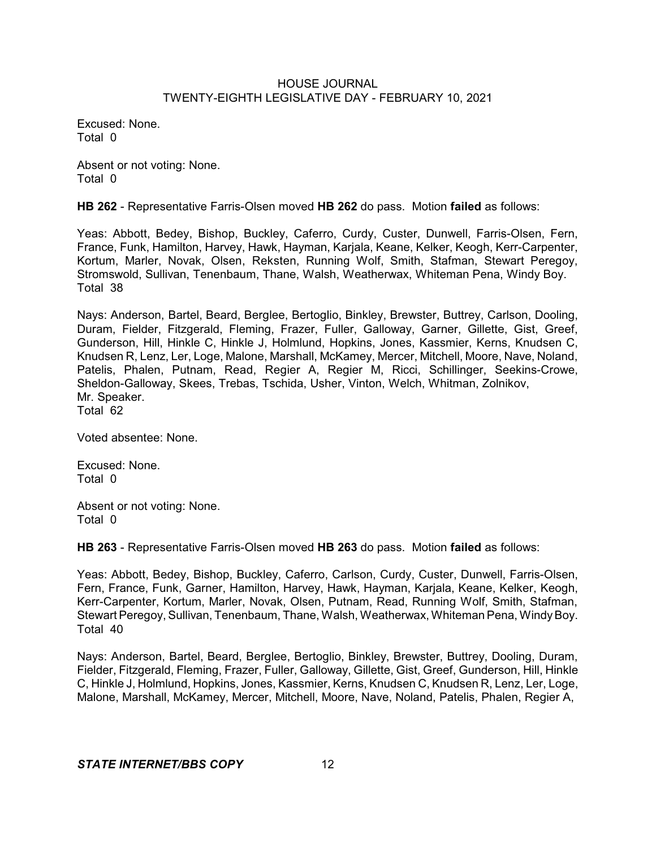Excused: None. Total 0

Absent or not voting: None. Total 0

**HB 262** - Representative Farris-Olsen moved **HB 262** do pass. Motion **failed** as follows:

Yeas: Abbott, Bedey, Bishop, Buckley, Caferro, Curdy, Custer, Dunwell, Farris-Olsen, Fern, France, Funk, Hamilton, Harvey, Hawk, Hayman, Karjala, Keane, Kelker, Keogh, Kerr-Carpenter, Kortum, Marler, Novak, Olsen, Reksten, Running Wolf, Smith, Stafman, Stewart Peregoy, Stromswold, Sullivan, Tenenbaum, Thane, Walsh, Weatherwax, Whiteman Pena, Windy Boy. Total 38

Nays: Anderson, Bartel, Beard, Berglee, Bertoglio, Binkley, Brewster, Buttrey, Carlson, Dooling, Duram, Fielder, Fitzgerald, Fleming, Frazer, Fuller, Galloway, Garner, Gillette, Gist, Greef, Gunderson, Hill, Hinkle C, Hinkle J, Holmlund, Hopkins, Jones, Kassmier, Kerns, Knudsen C, Knudsen R, Lenz, Ler, Loge, Malone, Marshall, McKamey, Mercer, Mitchell, Moore, Nave, Noland, Patelis, Phalen, Putnam, Read, Regier A, Regier M, Ricci, Schillinger, Seekins-Crowe, Sheldon-Galloway, Skees, Trebas, Tschida, Usher, Vinton, Welch, Whitman, Zolnikov, Mr. Speaker. Total 62

Voted absentee: None.

Excused: None. Total 0

Absent or not voting: None. Total 0

**HB 263** - Representative Farris-Olsen moved **HB 263** do pass. Motion **failed** as follows:

Yeas: Abbott, Bedey, Bishop, Buckley, Caferro, Carlson, Curdy, Custer, Dunwell, Farris-Olsen, Fern, France, Funk, Garner, Hamilton, Harvey, Hawk, Hayman, Karjala, Keane, Kelker, Keogh, Kerr-Carpenter, Kortum, Marler, Novak, Olsen, Putnam, Read, Running Wolf, Smith, Stafman, Stewart Peregoy, Sullivan, Tenenbaum, Thane, Walsh, Weatherwax, Whiteman Pena, Windy Boy. Total 40

Nays: Anderson, Bartel, Beard, Berglee, Bertoglio, Binkley, Brewster, Buttrey, Dooling, Duram, Fielder, Fitzgerald, Fleming, Frazer, Fuller, Galloway, Gillette, Gist, Greef, Gunderson, Hill, Hinkle C, Hinkle J, Holmlund, Hopkins, Jones, Kassmier, Kerns, Knudsen C, Knudsen R, Lenz, Ler, Loge, Malone, Marshall, McKamey, Mercer, Mitchell, Moore, Nave, Noland, Patelis, Phalen, Regier A,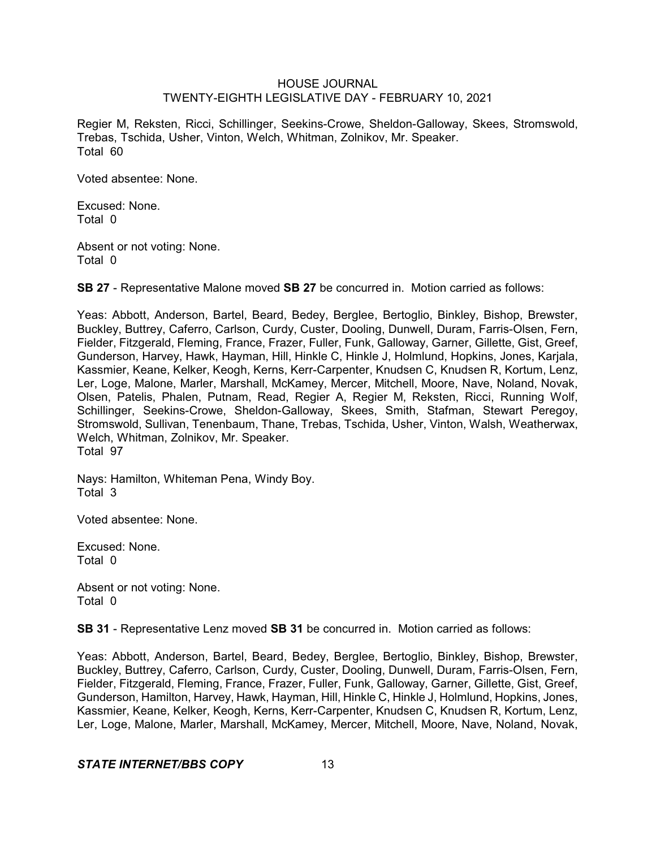Regier M, Reksten, Ricci, Schillinger, Seekins-Crowe, Sheldon-Galloway, Skees, Stromswold, Trebas, Tschida, Usher, Vinton, Welch, Whitman, Zolnikov, Mr. Speaker. Total 60

Voted absentee: None.

Excused: None. Total 0

Absent or not voting: None. Total 0

**SB 27** - Representative Malone moved **SB 27** be concurred in. Motion carried as follows:

Yeas: Abbott, Anderson, Bartel, Beard, Bedey, Berglee, Bertoglio, Binkley, Bishop, Brewster, Buckley, Buttrey, Caferro, Carlson, Curdy, Custer, Dooling, Dunwell, Duram, Farris-Olsen, Fern, Fielder, Fitzgerald, Fleming, France, Frazer, Fuller, Funk, Galloway, Garner, Gillette, Gist, Greef, Gunderson, Harvey, Hawk, Hayman, Hill, Hinkle C, Hinkle J, Holmlund, Hopkins, Jones, Karjala, Kassmier, Keane, Kelker, Keogh, Kerns, Kerr-Carpenter, Knudsen C, Knudsen R, Kortum, Lenz, Ler, Loge, Malone, Marler, Marshall, McKamey, Mercer, Mitchell, Moore, Nave, Noland, Novak, Olsen, Patelis, Phalen, Putnam, Read, Regier A, Regier M, Reksten, Ricci, Running Wolf, Schillinger, Seekins-Crowe, Sheldon-Galloway, Skees, Smith, Stafman, Stewart Peregoy, Stromswold, Sullivan, Tenenbaum, Thane, Trebas, Tschida, Usher, Vinton, Walsh, Weatherwax, Welch, Whitman, Zolnikov, Mr. Speaker. Total 97

Nays: Hamilton, Whiteman Pena, Windy Boy. Total 3

Voted absentee: None.

Excused: None. Total 0

Absent or not voting: None. Total 0

**SB 31** - Representative Lenz moved **SB 31** be concurred in. Motion carried as follows:

Yeas: Abbott, Anderson, Bartel, Beard, Bedey, Berglee, Bertoglio, Binkley, Bishop, Brewster, Buckley, Buttrey, Caferro, Carlson, Curdy, Custer, Dooling, Dunwell, Duram, Farris-Olsen, Fern, Fielder, Fitzgerald, Fleming, France, Frazer, Fuller, Funk, Galloway, Garner, Gillette, Gist, Greef, Gunderson, Hamilton, Harvey, Hawk, Hayman, Hill, Hinkle C, Hinkle J, Holmlund, Hopkins, Jones, Kassmier, Keane, Kelker, Keogh, Kerns, Kerr-Carpenter, Knudsen C, Knudsen R, Kortum, Lenz, Ler, Loge, Malone, Marler, Marshall, McKamey, Mercer, Mitchell, Moore, Nave, Noland, Novak,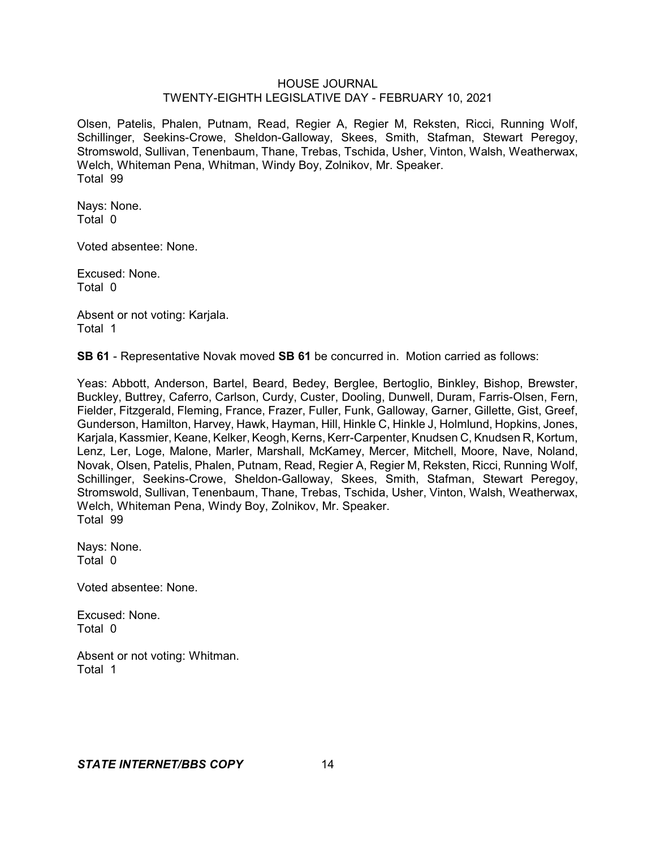Olsen, Patelis, Phalen, Putnam, Read, Regier A, Regier M, Reksten, Ricci, Running Wolf, Schillinger, Seekins-Crowe, Sheldon-Galloway, Skees, Smith, Stafman, Stewart Peregoy, Stromswold, Sullivan, Tenenbaum, Thane, Trebas, Tschida, Usher, Vinton, Walsh, Weatherwax, Welch, Whiteman Pena, Whitman, Windy Boy, Zolnikov, Mr. Speaker. Total 99

Nays: None. Total 0

Voted absentee: None.

Excused: None. Total 0

Absent or not voting: Karjala. Total 1

**SB 61** - Representative Novak moved **SB 61** be concurred in. Motion carried as follows:

Yeas: Abbott, Anderson, Bartel, Beard, Bedey, Berglee, Bertoglio, Binkley, Bishop, Brewster, Buckley, Buttrey, Caferro, Carlson, Curdy, Custer, Dooling, Dunwell, Duram, Farris-Olsen, Fern, Fielder, Fitzgerald, Fleming, France, Frazer, Fuller, Funk, Galloway, Garner, Gillette, Gist, Greef, Gunderson, Hamilton, Harvey, Hawk, Hayman, Hill, Hinkle C, Hinkle J, Holmlund, Hopkins, Jones, Karjala, Kassmier, Keane, Kelker, Keogh, Kerns, Kerr-Carpenter, Knudsen C, Knudsen R, Kortum, Lenz, Ler, Loge, Malone, Marler, Marshall, McKamey, Mercer, Mitchell, Moore, Nave, Noland, Novak, Olsen, Patelis, Phalen, Putnam, Read, Regier A, Regier M, Reksten, Ricci, Running Wolf, Schillinger, Seekins-Crowe, Sheldon-Galloway, Skees, Smith, Stafman, Stewart Peregoy, Stromswold, Sullivan, Tenenbaum, Thane, Trebas, Tschida, Usher, Vinton, Walsh, Weatherwax, Welch, Whiteman Pena, Windy Boy, Zolnikov, Mr. Speaker. Total 99

Nays: None. Total 0

Voted absentee: None.

Excused: None. Total 0

Absent or not voting: Whitman. Total 1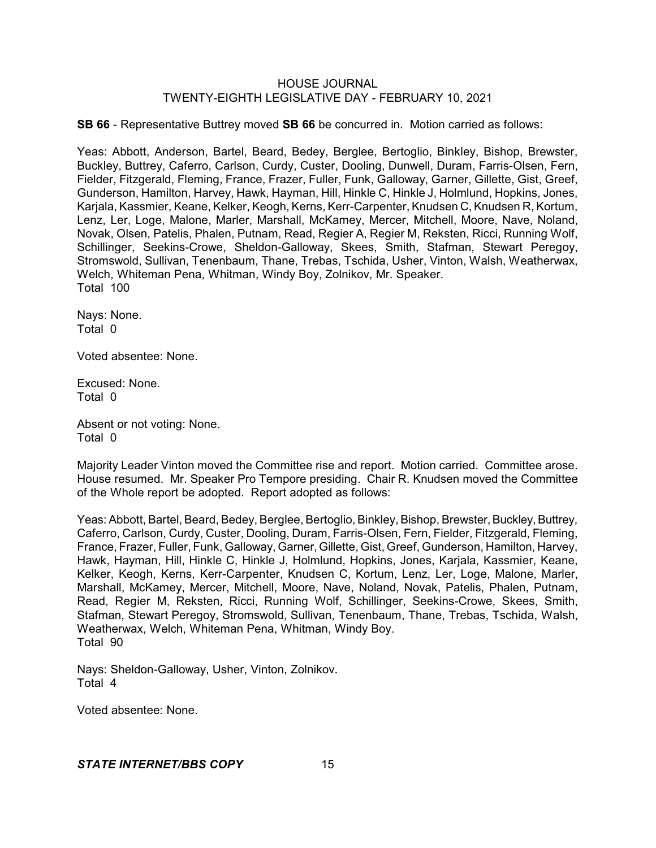**SB 66** - Representative Buttrey moved **SB 66** be concurred in. Motion carried as follows:

Yeas: Abbott, Anderson, Bartel, Beard, Bedey, Berglee, Bertoglio, Binkley, Bishop, Brewster, Buckley, Buttrey, Caferro, Carlson, Curdy, Custer, Dooling, Dunwell, Duram, Farris-Olsen, Fern, Fielder, Fitzgerald, Fleming, France, Frazer, Fuller, Funk, Galloway, Garner, Gillette, Gist, Greef, Gunderson, Hamilton, Harvey, Hawk, Hayman, Hill, Hinkle C, Hinkle J, Holmlund, Hopkins, Jones, Karjala, Kassmier, Keane, Kelker, Keogh, Kerns, Kerr-Carpenter, Knudsen C, Knudsen R, Kortum, Lenz, Ler, Loge, Malone, Marler, Marshall, McKamey, Mercer, Mitchell, Moore, Nave, Noland, Novak, Olsen, Patelis, Phalen, Putnam, Read, Regier A, Regier M, Reksten, Ricci, Running Wolf, Schillinger, Seekins-Crowe, Sheldon-Galloway, Skees, Smith, Stafman, Stewart Peregoy, Stromswold, Sullivan, Tenenbaum, Thane, Trebas, Tschida, Usher, Vinton, Walsh, Weatherwax, Welch, Whiteman Pena, Whitman, Windy Boy, Zolnikov, Mr. Speaker. Total 100

Nays: None. Total 0

Voted absentee: None.

Excused: None. Total 0

Absent or not voting: None. Total 0

Majority Leader Vinton moved the Committee rise and report. Motion carried. Committee arose. House resumed. Mr. Speaker Pro Tempore presiding. Chair R. Knudsen moved the Committee of the Whole report be adopted. Report adopted as follows:

Yeas: Abbott, Bartel, Beard, Bedey, Berglee, Bertoglio, Binkley, Bishop, Brewster, Buckley, Buttrey, Caferro, Carlson, Curdy, Custer, Dooling, Duram, Farris-Olsen, Fern, Fielder, Fitzgerald, Fleming, France, Frazer, Fuller, Funk, Galloway, Garner, Gillette, Gist, Greef, Gunderson, Hamilton, Harvey, Hawk, Hayman, Hill, Hinkle C, Hinkle J, Holmlund, Hopkins, Jones, Karjala, Kassmier, Keane, Kelker, Keogh, Kerns, Kerr-Carpenter, Knudsen C, Kortum, Lenz, Ler, Loge, Malone, Marler, Marshall, McKamey, Mercer, Mitchell, Moore, Nave, Noland, Novak, Patelis, Phalen, Putnam, Read, Regier M, Reksten, Ricci, Running Wolf, Schillinger, Seekins-Crowe, Skees, Smith, Stafman, Stewart Peregoy, Stromswold, Sullivan, Tenenbaum, Thane, Trebas, Tschida, Walsh, Weatherwax, Welch, Whiteman Pena, Whitman, Windy Boy. Total 90

Nays: Sheldon-Galloway, Usher, Vinton, Zolnikov. Total 4

Voted absentee: None.